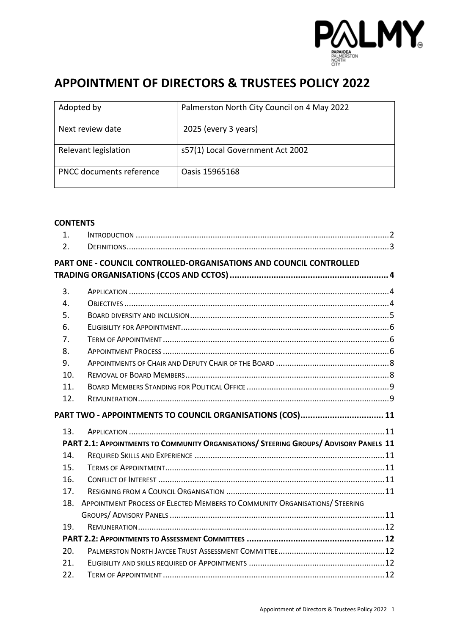

# **APPOINTMENT OF DIRECTORS & TRUSTEES POLICY 2022**

| Adopted by               | Palmerston North City Council on 4 May 2022 |
|--------------------------|---------------------------------------------|
| Next review date         | 2025 (every 3 years)                        |
| Relevant legislation     | s57(1) Local Government Act 2002            |
| PNCC documents reference | Oasis 15965168                              |
|                          |                                             |

#### **CONTENTS**

| $\mathbf{1}$ . |                                                                                        |  |
|----------------|----------------------------------------------------------------------------------------|--|
| 2.             |                                                                                        |  |
|                | PART ONE - COUNCIL CONTROLLED-ORGANISATIONS AND COUNCIL CONTROLLED                     |  |
|                |                                                                                        |  |
| 3.             |                                                                                        |  |
| 4.             |                                                                                        |  |
| 5.             |                                                                                        |  |
| 6.             |                                                                                        |  |
| 7.             |                                                                                        |  |
| 8.             |                                                                                        |  |
| 9.             |                                                                                        |  |
| 10.            |                                                                                        |  |
| 11.            |                                                                                        |  |
| 12.            |                                                                                        |  |
|                |                                                                                        |  |
|                | PART TWO - APPOINTMENTS TO COUNCIL ORGANISATIONS (COS) 11                              |  |
| 13.            |                                                                                        |  |
|                | PART 2.1: APPOINTMENTS TO COMMUNITY ORGANISATIONS/ STEERING GROUPS/ ADVISORY PANELS 11 |  |
| 14.            |                                                                                        |  |
| 15.            |                                                                                        |  |
| 16.            |                                                                                        |  |
| 17.            |                                                                                        |  |
| 18.            | APPOINTMENT PROCESS OF ELECTED MEMBERS TO COMMUNITY ORGANISATIONS/ STEERING            |  |
|                |                                                                                        |  |
| 19.            |                                                                                        |  |
|                |                                                                                        |  |
| 20.            |                                                                                        |  |
| 21.            |                                                                                        |  |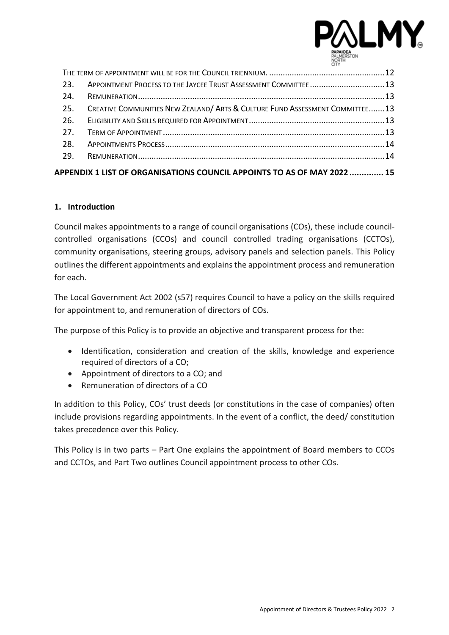

| 23.             | APPOINTMENT PROCESS TO THE JAYCEE TRUST ASSESSMENT COMMITTEE13               |  |
|-----------------|------------------------------------------------------------------------------|--|
| 24.             |                                                                              |  |
| 25.             | CREATIVE COMMUNITIES NEW ZEALAND/ ARTS & CULTURE FUND ASSESSMENT COMMITTEE13 |  |
| 26.             |                                                                              |  |
| 27 <sub>1</sub> |                                                                              |  |
| 28.             |                                                                              |  |
| 29.             |                                                                              |  |
|                 | APPENDIX 1 LIST OF ORGANISATIONS COUNCIL APPOINTS TO AS OF MAY 2022  15      |  |

#### <span id="page-1-0"></span>**1. Introduction**

Council makes appointments to a range of council organisations (COs), these include councilcontrolled organisations (CCOs) and council controlled trading organisations (CCTOs), community organisations, steering groups, advisory panels and selection panels. This Policy outlinesthe different appointments and explains the appointment process and remuneration for each.

The Local Government Act 2002 (s57) requires Council to have a policy on the skills required for appointment to, and remuneration of directors of COs.

The purpose of this Policy is to provide an objective and transparent process for the:

- Identification, consideration and creation of the skills, knowledge and experience required of directors of a CO;
- Appointment of directors to a CO; and
- Remuneration of directors of a CO

In addition to this Policy, COs' trust deeds (or constitutions in the case of companies) often include provisions regarding appointments. In the event of a conflict, the deed/ constitution takes precedence over this Policy.

This Policy is in two parts – Part One explains the appointment of Board members to CCOs and CCTOs, and Part Two outlines Council appointment process to other COs.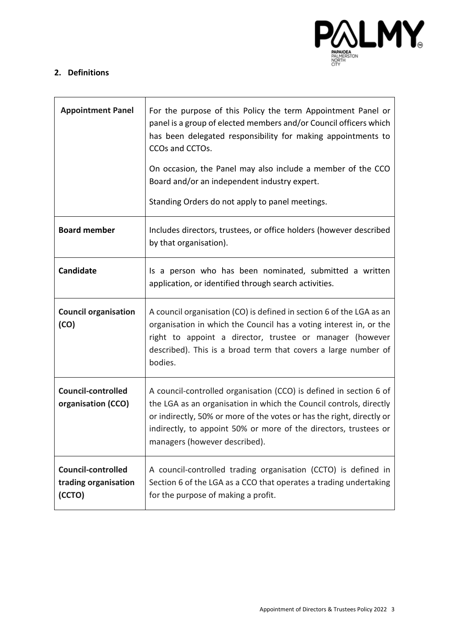

## <span id="page-2-0"></span>**2. Definitions**

<span id="page-2-1"></span>

| <b>Appointment Panel</b>                                    | For the purpose of this Policy the term Appointment Panel or<br>panel is a group of elected members and/or Council officers which<br>has been delegated responsibility for making appointments to<br>CCOs and CCTOs.                                                                                                   |
|-------------------------------------------------------------|------------------------------------------------------------------------------------------------------------------------------------------------------------------------------------------------------------------------------------------------------------------------------------------------------------------------|
|                                                             | On occasion, the Panel may also include a member of the CCO<br>Board and/or an independent industry expert.<br>Standing Orders do not apply to panel meetings.                                                                                                                                                         |
| <b>Board member</b>                                         | Includes directors, trustees, or office holders (however described<br>by that organisation).                                                                                                                                                                                                                           |
| <b>Candidate</b>                                            | Is a person who has been nominated, submitted a written<br>application, or identified through search activities.                                                                                                                                                                                                       |
| <b>Council organisation</b><br>(CO)                         | A council organisation (CO) is defined in section 6 of the LGA as an<br>organisation in which the Council has a voting interest in, or the<br>right to appoint a director, trustee or manager (however<br>described). This is a broad term that covers a large number of<br>bodies.                                    |
| <b>Council-controlled</b><br>organisation (CCO)             | A council-controlled organisation (CCO) is defined in section 6 of<br>the LGA as an organisation in which the Council controls, directly<br>or indirectly, 50% or more of the votes or has the right, directly or<br>indirectly, to appoint 50% or more of the directors, trustees or<br>managers (however described). |
| <b>Council-controlled</b><br>trading organisation<br>(CCTO) | A council-controlled trading organisation (CCTO) is defined in<br>Section 6 of the LGA as a CCO that operates a trading undertaking<br>for the purpose of making a profit.                                                                                                                                             |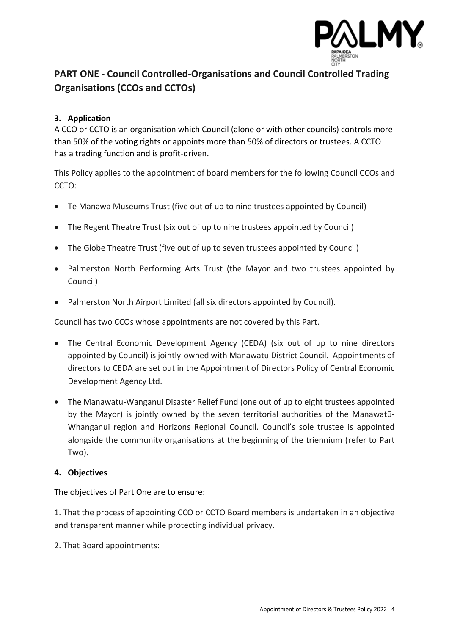

## **PART ONE - Council Controlled-Organisations and Council Controlled Trading Organisations (CCOs and CCTOs)**

## <span id="page-3-0"></span>**3. Application**

A CCO or CCTO is an organisation which Council (alone or with other councils) controls more than 50% of the voting rights or appoints more than 50% of directors or trustees. A CCTO has a trading function and is profit-driven.

This Policy applies to the appointment of board members for the following Council CCOs and CCTO:

- Te Manawa Museums Trust (five out of up to nine trustees appointed by Council)
- The Regent Theatre Trust (six out of up to nine trustees appointed by Council)
- The Globe Theatre Trust (five out of up to seven trustees appointed by Council)
- Palmerston North Performing Arts Trust (the Mayor and two trustees appointed by Council)
- Palmerston North Airport Limited (all six directors appointed by Council).

Council has two CCOs whose appointments are not covered by this Part.

- The Central Economic Development Agency (CEDA) (six out of up to nine directors appointed by Council) is jointly-owned with Manawatu District Council. Appointments of directors to CEDA are set out in the Appointment of Directors Policy of Central Economic Development Agency Ltd.
- The Manawatu-Wanganui Disaster Relief Fund (one out of up to eight trustees appointed by the Mayor) is jointly owned by the seven territorial authorities of the Manawatū-Whanganui region and Horizons Regional Council. Council's sole trustee is appointed alongside the community organisations at the beginning of the triennium (refer to Part Two).

#### <span id="page-3-1"></span>**4. Objectives**

The objectives of Part One are to ensure:

1. That the process of appointing CCO or CCTO Board members is undertaken in an objective and transparent manner while protecting individual privacy.

2. That Board appointments: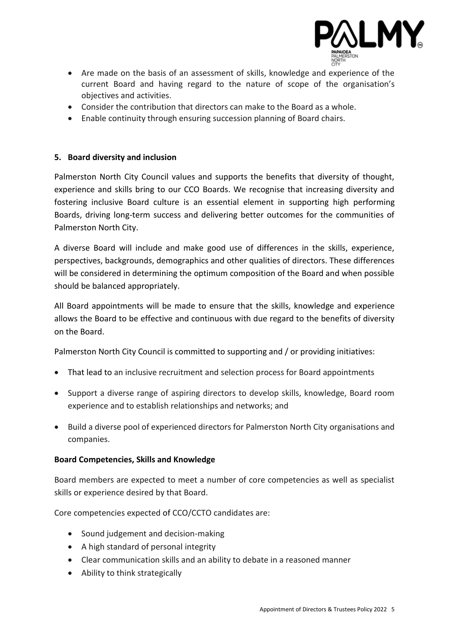

- Are made on the basis of an assessment of skills, knowledge and experience of the current Board and having regard to the nature of scope of the organisation's objectives and activities.
- Consider the contribution that directors can make to the Board as a whole.
- Enable continuity through ensuring succession planning of Board chairs.

#### <span id="page-4-0"></span>**5. Board diversity and inclusion**

Palmerston North City Council values and supports the benefits that diversity of thought, experience and skills bring to our CCO Boards. We recognise that increasing diversity and fostering inclusive Board culture is an essential element in supporting high performing Boards, driving long-term success and delivering better outcomes for the communities of Palmerston North City.

A diverse Board will include and make good use of differences in the skills, experience, perspectives, backgrounds, demographics and other qualities of directors. These differences will be considered in determining the optimum composition of the Board and when possible should be balanced appropriately.

All Board appointments will be made to ensure that the skills, knowledge and experience allows the Board to be effective and continuous with due regard to the benefits of diversity on the Board.

Palmerston North City Council is committed to supporting and / or providing initiatives:

- That lead to an inclusive recruitment and selection process for Board appointments
- Support a diverse range of aspiring directors to develop skills, knowledge, Board room experience and to establish relationships and networks; and
- Build a diverse pool of experienced directors for Palmerston North City organisations and companies.

#### **Board Competencies, Skills and Knowledge**

Board members are expected to meet a number of core competencies as well as specialist skills or experience desired by that Board.

Core competencies expected of CCO/CCTO candidates are:

- Sound judgement and decision-making
- A high standard of personal integrity
- Clear communication skills and an ability to debate in a reasoned manner
- Ability to think strategically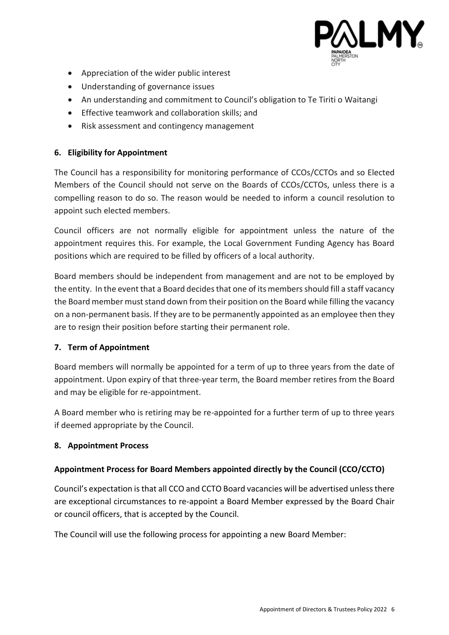

- Appreciation of the wider public interest
- Understanding of governance issues
- An understanding and commitment to Council's obligation to Te Tiriti o Waitangi
- Effective teamwork and collaboration skills; and
- Risk assessment and contingency management

#### <span id="page-5-0"></span>**6. Eligibility for Appointment**

The Council has a responsibility for monitoring performance of CCOs/CCTOs and so Elected Members of the Council should not serve on the Boards of CCOs/CCTOs, unless there is a compelling reason to do so. The reason would be needed to inform a council resolution to appoint such elected members.

Council officers are not normally eligible for appointment unless the nature of the appointment requires this. For example, the Local Government Funding Agency has Board positions which are required to be filled by officers of a local authority.

Board members should be independent from management and are not to be employed by the entity. In the event that a Board decides that one of its members should fill a staff vacancy the Board member must stand down from their position on the Board while filling the vacancy on a non-permanent basis. If they are to be permanently appointed as an employee then they are to resign their position before starting their permanent role.

#### <span id="page-5-1"></span>**7. Term of Appointment**

Board members will normally be appointed for a term of up to three years from the date of appointment. Upon expiry of that three-year term, the Board member retires from the Board and may be eligible for re-appointment.

A Board member who is retiring may be re-appointed for a further term of up to three years if deemed appropriate by the Council.

#### <span id="page-5-2"></span>**8. Appointment Process**

#### **Appointment Process for Board Members appointed directly by the Council (CCO/CCTO)**

Council's expectation is that all CCO and CCTO Board vacancies will be advertised unless there are exceptional circumstances to re-appoint a Board Member expressed by the Board Chair or council officers, that is accepted by the Council.

The Council will use the following process for appointing a new Board Member: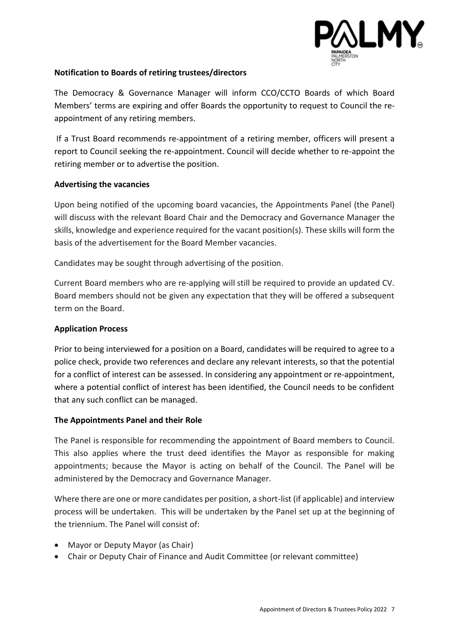

#### **Notification to Boards of retiring trustees/directors**

The Democracy & Governance Manager will inform CCO/CCTO Boards of which Board Members' terms are expiring and offer Boards the opportunity to request to Council the reappointment of any retiring members.

If a Trust Board recommends re-appointment of a retiring member, officers will present a report to Council seeking the re-appointment. Council will decide whether to re-appoint the retiring member or to advertise the position.

#### **Advertising the vacancies**

Upon being notified of the upcoming board vacancies, the Appointments Panel (the Panel) will discuss with the relevant Board Chair and the Democracy and Governance Manager the skills, knowledge and experience required for the vacant position(s). These skills will form the basis of the advertisement for the Board Member vacancies.

Candidates may be sought through advertising of the position.

Current Board members who are re-applying will still be required to provide an updated CV. Board members should not be given any expectation that they will be offered a subsequent term on the Board.

#### **Application Process**

Prior to being interviewed for a position on a Board, candidates will be required to agree to a police check, provide two references and declare any relevant interests, so that the potential for a conflict of interest can be assessed. In considering any appointment or re-appointment, where a potential conflict of interest has been identified, the Council needs to be confident that any such conflict can be managed.

#### **The Appointments Panel and their Role**

The Panel is responsible for recommending the appointment of Board members to Council. This also applies where the trust deed identifies the Mayor as responsible for making appointments; because the Mayor is acting on behalf of the Council. The Panel will be administered by the Democracy and Governance Manager.

Where there are one or more candidates per position, a short-list (if applicable) and interview process will be undertaken. This will be undertaken by the Panel set up at the beginning of the triennium. The Panel will consist of:

- Mayor or Deputy Mayor (as Chair)
- Chair or Deputy Chair of Finance and Audit Committee (or relevant committee)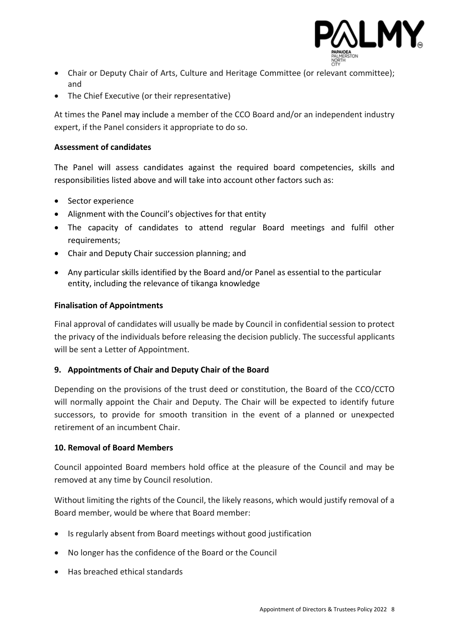

- Chair or Deputy Chair of Arts, Culture and Heritage Committee (or relevant committee); and
- The Chief Executive (or their representative)

At times the Panel may include a member of the CCO Board and/or an independent industry expert, if the Panel considers it appropriate to do so.

#### **Assessment of candidates**

The Panel will assess candidates against the required board competencies, skills and responsibilities listed above and will take into account other factors such as:

- Sector experience
- Alignment with the Council's objectives for that entity
- The capacity of candidates to attend regular Board meetings and fulfil other requirements;
- Chair and Deputy Chair succession planning; and
- Any particular skills identified by the Board and/or Panel as essential to the particular entity, including the relevance of tikanga knowledge

#### **Finalisation of Appointments**

Final approval of candidates will usually be made by Council in confidential session to protect the privacy of the individuals before releasing the decision publicly. The successful applicants will be sent a Letter of Appointment.

#### <span id="page-7-0"></span>**9. Appointments of Chair and Deputy Chair of the Board**

Depending on the provisions of the trust deed or constitution, the Board of the CCO/CCTO will normally appoint the Chair and Deputy. The Chair will be expected to identify future successors, to provide for smooth transition in the event of a planned or unexpected retirement of an incumbent Chair.

#### <span id="page-7-1"></span>**10. Removal of Board Members**

Council appointed Board members hold office at the pleasure of the Council and may be removed at any time by Council resolution.

Without limiting the rights of the Council, the likely reasons, which would justify removal of a Board member, would be where that Board member:

- Is regularly absent from Board meetings without good justification
- No longer has the confidence of the Board or the Council
- Has breached ethical standards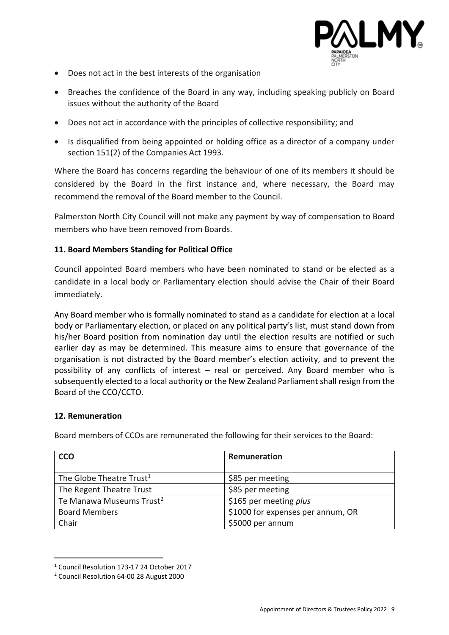

- Does not act in the best interests of the organisation
- Breaches the confidence of the Board in any way, including speaking publicly on Board issues without the authority of the Board
- Does not act in accordance with the principles of collective responsibility; and
- Is disqualified from being appointed or holding office as a director of a company under section 151(2) of the Companies Act 1993.

Where the Board has concerns regarding the behaviour of one of its members it should be considered by the Board in the first instance and, where necessary, the Board may recommend the removal of the Board member to the Council.

Palmerston North City Council will not make any payment by way of compensation to Board members who have been removed from Boards.

#### <span id="page-8-0"></span>**11. Board Members Standing for Political Office**

Council appointed Board members who have been nominated to stand or be elected as a candidate in a local body or Parliamentary election should advise the Chair of their Board immediately.

Any Board member who is formally nominated to stand as a candidate for election at a local body or Parliamentary election, or placed on any political party's list, must stand down from his/her Board position from nomination day until the election results are notified or such earlier day as may be determined. This measure aims to ensure that governance of the organisation is not distracted by the Board member's election activity, and to prevent the possibility of any conflicts of interest – real or perceived. Any Board member who is subsequently elected to a local authority or the New Zealand Parliament shall resign from the Board of the CCO/CCTO.

#### <span id="page-8-1"></span>**12. Remuneration**

Board members of CCOs are remunerated the following for their services to the Board:

| <b>CCO</b>                           | Remuneration                      |
|--------------------------------------|-----------------------------------|
|                                      |                                   |
| The Globe Theatre Trust <sup>1</sup> | \$85 per meeting                  |
| The Regent Theatre Trust             | \$85 per meeting                  |
| Te Manawa Museums Trust <sup>2</sup> | \$165 per meeting plus            |
| <b>Board Members</b>                 | \$1000 for expenses per annum, OR |
| Chair                                | \$5000 per annum                  |

<sup>1</sup> Council Resolution 173-17 24 October 2017

<sup>2</sup> Council Resolution 64-00 28 August 2000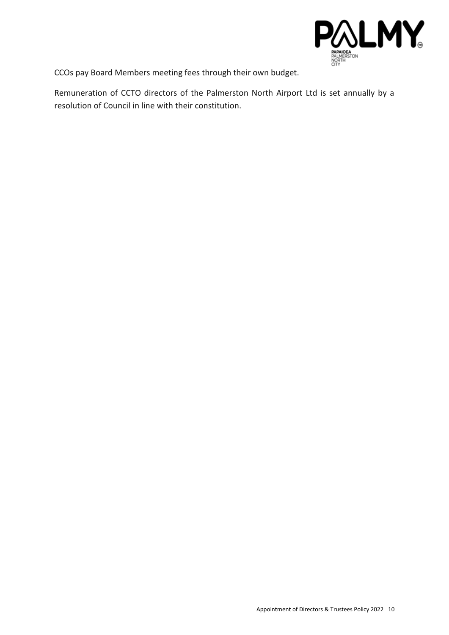

CCOs pay Board Members meeting fees through their own budget.

Remuneration of CCTO directors of the Palmerston North Airport Ltd is set annually by a resolution of Council in line with their constitution.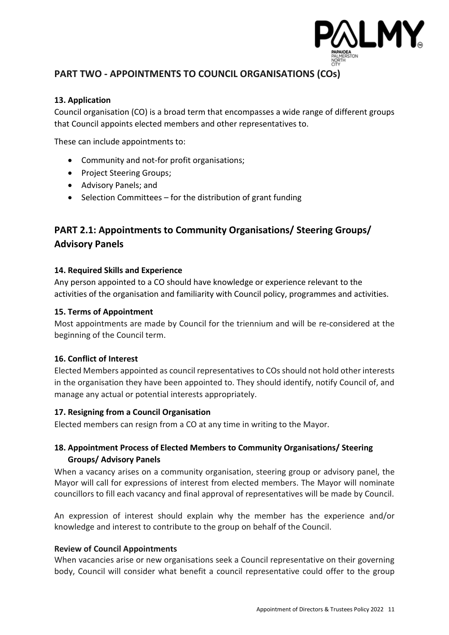

## <span id="page-10-0"></span>**PART TWO - APPOINTMENTS TO COUNCIL ORGANISATIONS (COs)**

#### <span id="page-10-1"></span>**13. Application**

Council organisation (CO) is a broad term that encompasses a wide range of different groups that Council appoints elected members and other representatives to.

These can include appointments to:

- Community and not-for profit organisations;
- Project Steering Groups;
- Advisory Panels; and
- Selection Committees for the distribution of grant funding

## <span id="page-10-2"></span>**PART 2.1: Appointments to Community Organisations/ Steering Groups/ Advisory Panels**

#### <span id="page-10-3"></span>**14. Required Skills and Experience**

Any person appointed to a CO should have knowledge or experience relevant to the activities of the organisation and familiarity with Council policy, programmes and activities.

#### <span id="page-10-4"></span>**15. Terms of Appointment**

Most appointments are made by Council for the triennium and will be re-considered at the beginning of the Council term.

#### <span id="page-10-5"></span>**16. Conflict of Interest**

Elected Members appointed as council representatives to COs should not hold other interests in the organisation they have been appointed to. They should identify, notify Council of, and manage any actual or potential interests appropriately.

#### <span id="page-10-6"></span>**17. Resigning from a Council Organisation**

Elected members can resign from a CO at any time in writing to the Mayor.

## <span id="page-10-7"></span>**18. Appointment Process of Elected Members to Community Organisations/ Steering Groups/ Advisory Panels**

When a vacancy arises on a community organisation, steering group or advisory panel, the Mayor will call for expressions of interest from elected members. The Mayor will nominate councillors to fill each vacancy and final approval of representatives will be made by Council.

An expression of interest should explain why the member has the experience and/or knowledge and interest to contribute to the group on behalf of the Council.

#### **Review of Council Appointments**

When vacancies arise or new organisations seek a Council representative on their governing body, Council will consider what benefit a council representative could offer to the group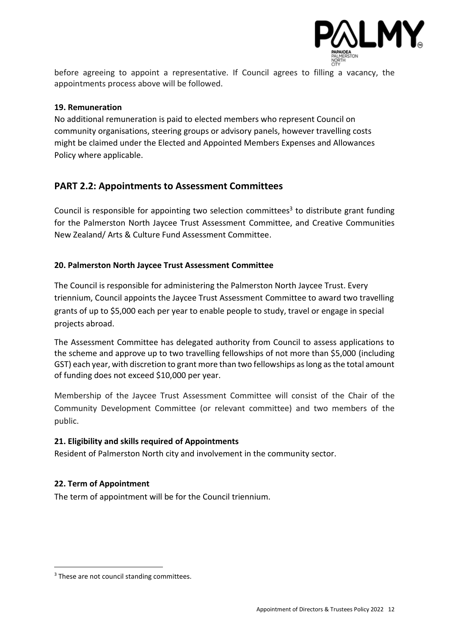

before agreeing to appoint a representative. If Council agrees to filling a vacancy, the appointments process above will be followed.

#### <span id="page-11-0"></span>**19. Remuneration**

No additional remuneration is paid to elected members who represent Council on community organisations, steering groups or advisory panels, however travelling costs might be claimed under the Elected and Appointed Members Expenses and Allowances Policy where applicable.

## <span id="page-11-1"></span>**PART 2.2: Appointments to Assessment Committees**

Council is responsible for appointing two selection committees<sup>3</sup> to distribute grant funding for the Palmerston North Jaycee Trust Assessment Committee, and Creative Communities New Zealand/ Arts & Culture Fund Assessment Committee.

#### <span id="page-11-2"></span>**20. Palmerston North Jaycee Trust Assessment Committee**

The Council is responsible for administering the Palmerston North Jaycee Trust. Every triennium, Council appoints the Jaycee Trust Assessment Committee to award two travelling grants of up to \$5,000 each per year to enable people to study, travel or engage in special projects abroad.

The Assessment Committee has delegated authority from Council to assess applications to the scheme and approve up to two travelling fellowships of not more than \$5,000 (including GST) each year, with discretion to grant more than two fellowships as long as the total amount of funding does not exceed \$10,000 per year.

Membership of the Jaycee Trust Assessment Committee will consist of the Chair of the Community Development Committee (or relevant committee) and two members of the public.

#### <span id="page-11-3"></span>**21. Eligibility and skills required of Appointments**

Resident of Palmerston North city and involvement in the community sector.

#### <span id="page-11-4"></span>**22. Term of Appointment**

<span id="page-11-5"></span>The term of appointment will be for the Council triennium.

<sup>&</sup>lt;sup>3</sup> These are not council standing committees.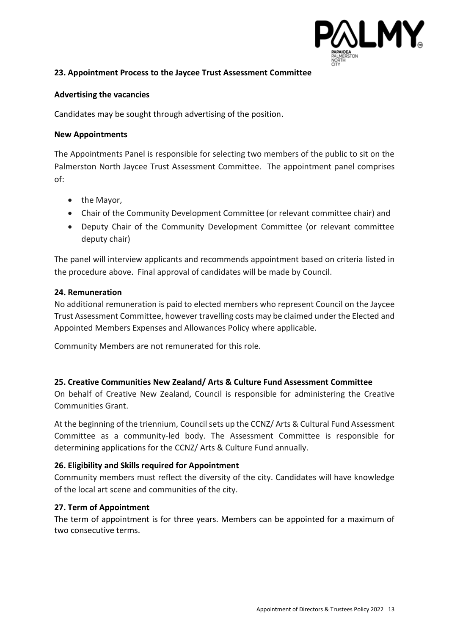

#### <span id="page-12-0"></span>**23. Appointment Process to the Jaycee Trust Assessment Committee**

#### **Advertising the vacancies**

Candidates may be sought through advertising of the position.

#### **New Appointments**

The Appointments Panel is responsible for selecting two members of the public to sit on the Palmerston North Jaycee Trust Assessment Committee. The appointment panel comprises of:

- the Mayor,
- Chair of the Community Development Committee (or relevant committee chair) and
- Deputy Chair of the Community Development Committee (or relevant committee deputy chair)

The panel will interview applicants and recommends appointment based on criteria listed in the procedure above. Final approval of candidates will be made by Council.

#### <span id="page-12-1"></span>**24. Remuneration**

No additional remuneration is paid to elected members who represent Council on the Jaycee Trust Assessment Committee, however travelling costs may be claimed under the Elected and Appointed Members Expenses and Allowances Policy where applicable.

Community Members are not remunerated for this role.

#### <span id="page-12-2"></span>**25. Creative Communities New Zealand/ Arts & Culture Fund Assessment Committee**

On behalf of Creative New Zealand, Council is responsible for administering the Creative Communities Grant.

At the beginning of the triennium, Council sets up the CCNZ/ Arts & Cultural Fund Assessment Committee as a community-led body. The Assessment Committee is responsible for determining applications for the CCNZ/ Arts & Culture Fund annually.

#### <span id="page-12-3"></span>**26. Eligibility and Skills required for Appointment**

Community members must reflect the diversity of the city. Candidates will have knowledge of the local art scene and communities of the city.

#### <span id="page-12-4"></span>**27. Term of Appointment**

The term of appointment is for three years. Members can be appointed for a maximum of two consecutive terms.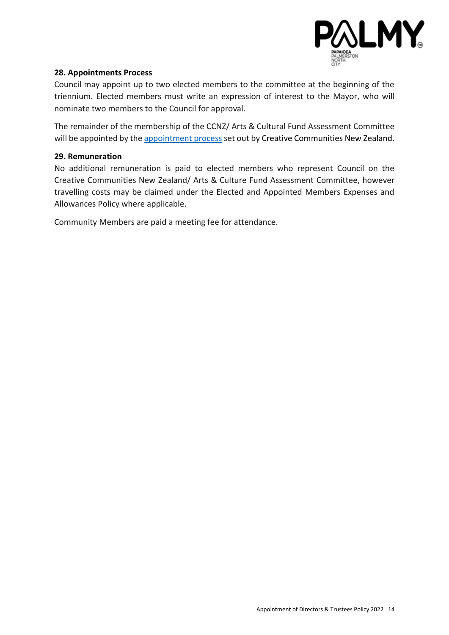

#### <span id="page-13-0"></span>**28. Appointments Process**

Council may appoint up to two elected members to the committee at the beginning of the triennium. Elected members must write an expression of interest to the Mayor, who will nominate two members to the Council for approval.

The remainder of the membership of the CCNZ/ Arts & Cultural Fund Assessment Committee will be appointed by the [appointment process](https://ccs.creativenz.govt.nz/help/resources-5ceca62) set out by Creative Communities New Zealand.

#### <span id="page-13-1"></span>**29. Remuneration**

No additional remuneration is paid to elected members who represent Council on the Creative Communities New Zealand/ Arts & Culture Fund Assessment Committee, however travelling costs may be claimed under the Elected and Appointed Members Expenses and Allowances Policy where applicable.

Community Members are paid a meeting fee for attendance.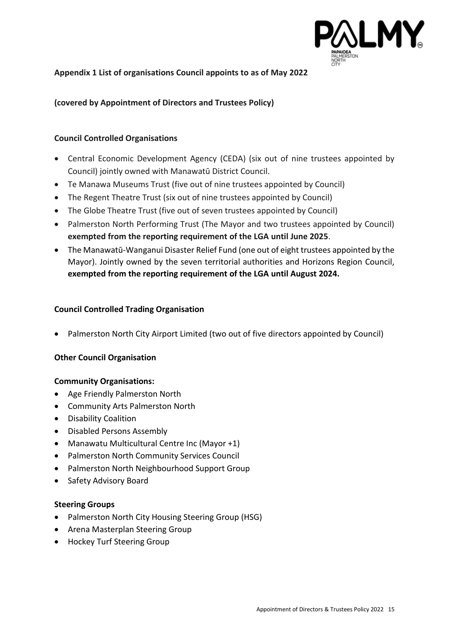

#### <span id="page-14-0"></span>**Appendix 1 List of organisations Council appoints to as of May 2022**

#### **(covered by Appointment of Directors and Trustees Policy)**

#### **Council Controlled Organisations**

- Central Economic Development Agency (CEDA) (six out of nine trustees appointed by Council) jointly owned with Manawatū District Council.
- Te Manawa Museums Trust (five out of nine trustees appointed by Council)
- The Regent Theatre Trust (six out of nine trustees appointed by Council)
- The Globe Theatre Trust (five out of seven trustees appointed by Council)
- Palmerston North Performing Trust (The Mayor and two trustees appointed by Council) **exempted from the reporting requirement of the LGA until June 2025**.
- The Manawatū-Wanganui Disaster Relief Fund (one out of eight trustees appointed by the Mayor). Jointly owned by the seven territorial authorities and Horizons Region Council, **exempted from the reporting requirement of the LGA until August 2024.**

#### **Council Controlled Trading Organisation**

• Palmerston North City Airport Limited (two out of five directors appointed by Council)

#### **Other Council Organisation**

#### **Community Organisations:**

- Age Friendly Palmerston North
- Community Arts Palmerston North
- Disability Coalition
- Disabled Persons Assembly
- Manawatu Multicultural Centre Inc (Mayor +1)
- Palmerston North Community Services Council
- Palmerston North Neighbourhood Support Group
- Safety Advisory Board

#### **Steering Groups**

- Palmerston North City Housing Steering Group (HSG)
- Arena Masterplan Steering Group
- Hockey Turf Steering Group